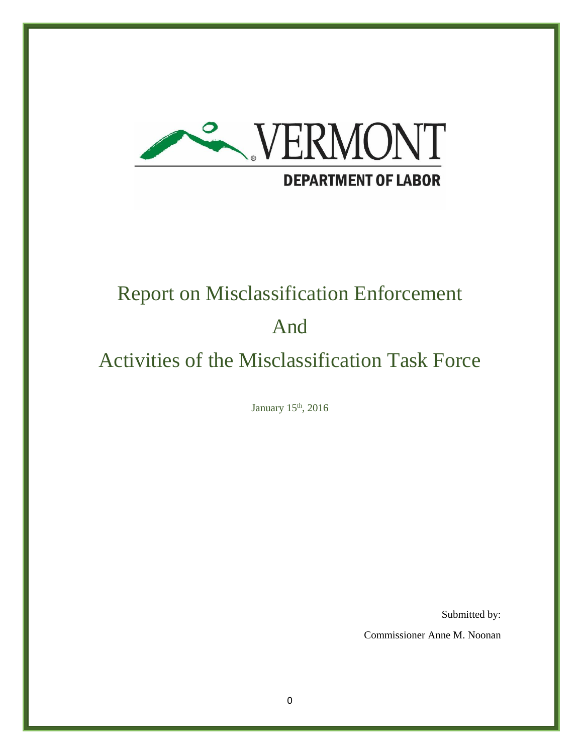

# Report on Misclassification Enforcement

# And

# Activities of the Misclassification Task Force

January 15<sup>th</sup>, 2016

Submitted by:

Commissioner Anne M. Noonan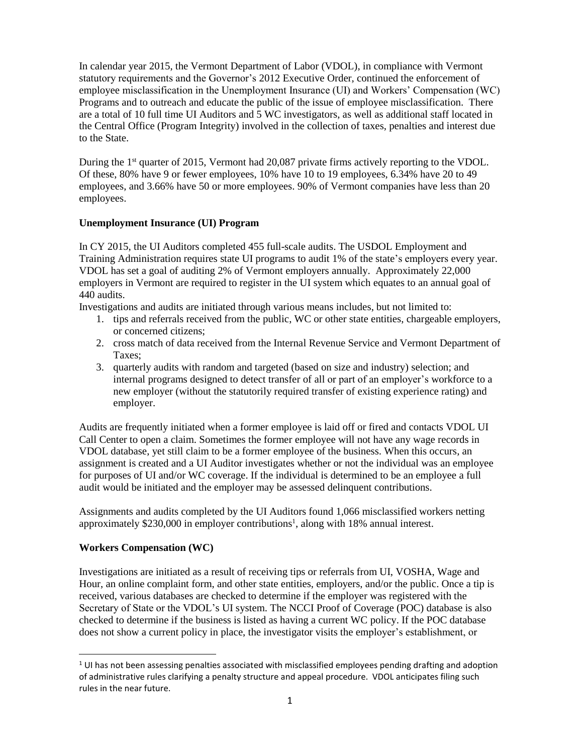In calendar year 2015, the Vermont Department of Labor (VDOL), in compliance with Vermont statutory requirements and the Governor's 2012 Executive Order, continued the enforcement of employee misclassification in the Unemployment Insurance (UI) and Workers' Compensation (WC) Programs and to outreach and educate the public of the issue of employee misclassification. There are a total of 10 full time UI Auditors and 5 WC investigators, as well as additional staff located in the Central Office (Program Integrity) involved in the collection of taxes, penalties and interest due to the State.

During the 1<sup>st</sup> quarter of 2015, Vermont had 20,087 private firms actively reporting to the VDOL. Of these, 80% have 9 or fewer employees, 10% have 10 to 19 employees, 6.34% have 20 to 49 employees, and 3.66% have 50 or more employees. 90% of Vermont companies have less than 20 employees.

### **Unemployment Insurance (UI) Program**

In CY 2015, the UI Auditors completed 455 full-scale audits. The USDOL Employment and Training Administration requires state UI programs to audit 1% of the state's employers every year. VDOL has set a goal of auditing 2% of Vermont employers annually. Approximately 22,000 employers in Vermont are required to register in the UI system which equates to an annual goal of 440 audits.

Investigations and audits are initiated through various means includes, but not limited to:

- 1. tips and referrals received from the public, WC or other state entities, chargeable employers, or concerned citizens;
- 2. cross match of data received from the Internal Revenue Service and Vermont Department of Taxes;
- 3. quarterly audits with random and targeted (based on size and industry) selection; and internal programs designed to detect transfer of all or part of an employer's workforce to a new employer (without the statutorily required transfer of existing experience rating) and employer.

Audits are frequently initiated when a former employee is laid off or fired and contacts VDOL UI Call Center to open a claim. Sometimes the former employee will not have any wage records in VDOL database, yet still claim to be a former employee of the business. When this occurs, an assignment is created and a UI Auditor investigates whether or not the individual was an employee for purposes of UI and/or WC coverage. If the individual is determined to be an employee a full audit would be initiated and the employer may be assessed delinquent contributions.

Assignments and audits completed by the UI Auditors found 1,066 misclassified workers netting approximately \$230,000 in employer contributions<sup>1</sup>, along with 18% annual interest.

# **Workers Compensation (WC)**

 $\ddot{\phantom{a}}$ 

Investigations are initiated as a result of receiving tips or referrals from UI, VOSHA, Wage and Hour, an online complaint form, and other state entities, employers, and/or the public. Once a tip is received, various databases are checked to determine if the employer was registered with the Secretary of State or the VDOL's UI system. The NCCI Proof of Coverage (POC) database is also checked to determine if the business is listed as having a current WC policy. If the POC database does not show a current policy in place, the investigator visits the employer's establishment, or

<sup>&</sup>lt;sup>1</sup> UI has not been assessing penalties associated with misclassified employees pending drafting and adoption of administrative rules clarifying a penalty structure and appeal procedure. VDOL anticipates filing such rules in the near future.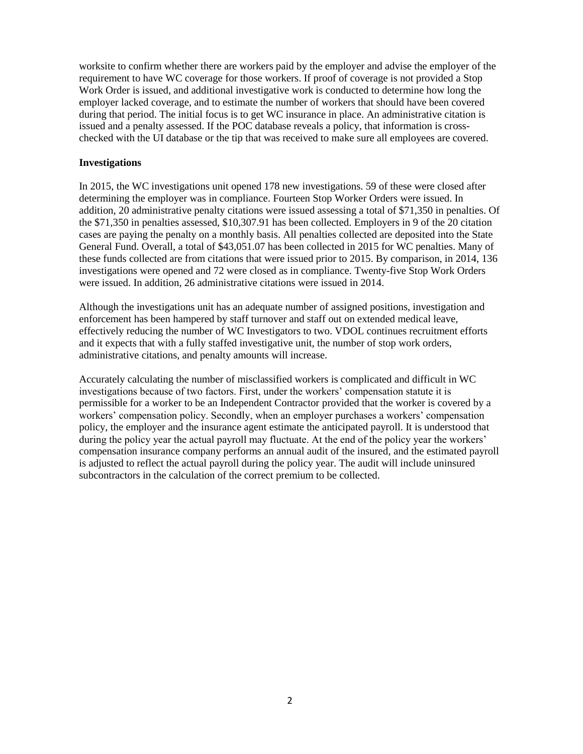worksite to confirm whether there are workers paid by the employer and advise the employer of the requirement to have WC coverage for those workers. If proof of coverage is not provided a Stop Work Order is issued, and additional investigative work is conducted to determine how long the employer lacked coverage, and to estimate the number of workers that should have been covered during that period. The initial focus is to get WC insurance in place. An administrative citation is issued and a penalty assessed. If the POC database reveals a policy, that information is crosschecked with the UI database or the tip that was received to make sure all employees are covered.

#### **Investigations**

In 2015, the WC investigations unit opened 178 new investigations. 59 of these were closed after determining the employer was in compliance. Fourteen Stop Worker Orders were issued. In addition, 20 administrative penalty citations were issued assessing a total of \$71,350 in penalties. Of the \$71,350 in penalties assessed, \$10,307.91 has been collected. Employers in 9 of the 20 citation cases are paying the penalty on a monthly basis. All penalties collected are deposited into the State General Fund. Overall, a total of \$43,051.07 has been collected in 2015 for WC penalties. Many of these funds collected are from citations that were issued prior to 2015. By comparison, in 2014, 136 investigations were opened and 72 were closed as in compliance. Twenty-five Stop Work Orders were issued. In addition, 26 administrative citations were issued in 2014.

Although the investigations unit has an adequate number of assigned positions, investigation and enforcement has been hampered by staff turnover and staff out on extended medical leave, effectively reducing the number of WC Investigators to two. VDOL continues recruitment efforts and it expects that with a fully staffed investigative unit, the number of stop work orders, administrative citations, and penalty amounts will increase.

Accurately calculating the number of misclassified workers is complicated and difficult in WC investigations because of two factors. First, under the workers' compensation statute it is permissible for a worker to be an Independent Contractor provided that the worker is covered by a workers' compensation policy. Secondly, when an employer purchases a workers' compensation policy, the employer and the insurance agent estimate the anticipated payroll. It is understood that during the policy year the actual payroll may fluctuate. At the end of the policy year the workers' compensation insurance company performs an annual audit of the insured, and the estimated payroll is adjusted to reflect the actual payroll during the policy year. The audit will include uninsured subcontractors in the calculation of the correct premium to be collected.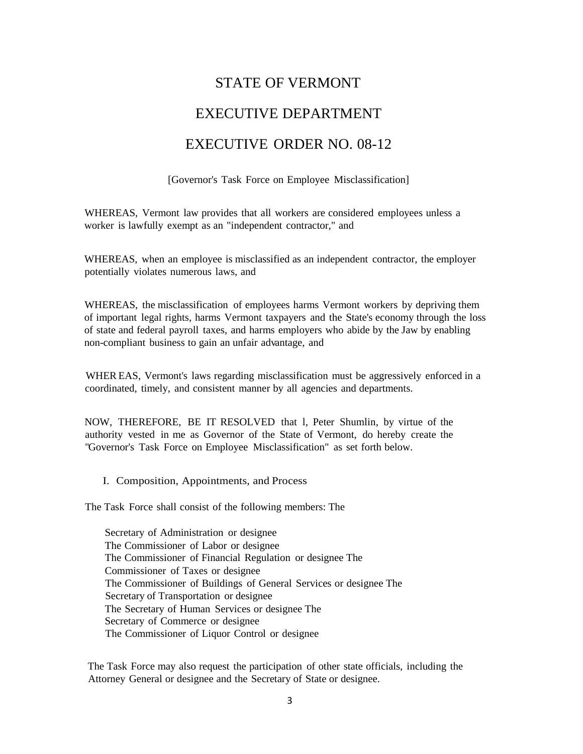# STATE OF VERMONT EXECUTIVE DEPARTMENT EXECUTIVE ORDER NO. 08-12

[Governor's Task Force on Employee Misclassification]

WHEREAS, Vermont law provides that all workers are considered employees unless a worker is lawfully exempt as an "independent contractor," and

WHEREAS, when an employee is misclassified as an independent contractor, the employer potentially violates numerous laws, and

WHEREAS, the misclassification of employees harms Vermont workers by depriving them of important legal rights, harms Vermont taxpayers and the State's economy through the loss of state and federal payroll taxes, and harms employers who abide by the Jaw by enabling non-compliant business to gain an unfair advantage, and

WHER EAS, Vermont's laws regarding misclassification must be aggressively enforced in a coordinated, timely, and consistent manner by all agencies and departments.

NOW, THEREFORE, BE IT RESOLVED that l, Peter Shumlin, by virtue of the authority vested in me as Governor of the State of Vermont, do hereby create the "Governor's Task Force on Employee Misclassification" as set forth below.

I. Composition, Appointments, and Process

The Task Force shall consist of the following members: The

Secretary of Administration or designee The Commissioner of Labor or designee The Commissioner of Financial Regulation or designee The Commissioner of Taxes or designee The Commissioner of Buildings of General Services or designee The Secretary of Transportation or designee The Secretary of Human Services or designee The Secretary of Commerce or designee The Commissioner of Liquor Control or designee

The Task Force may also request the participation of other state officials, including the Attorney General or designee and the Secretary of State or designee.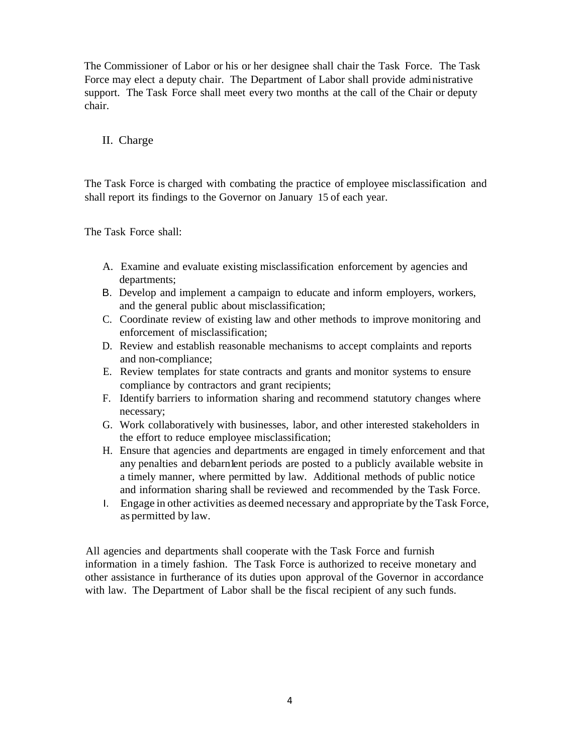The Commissioner of Labor or his or her designee shall chair the Task Force. The Task Force may elect a deputy chair. The Department of Labor shall provide administrative support. The Task Force shall meet every two months at the call of the Chair or deputy chair.

# II. Charge

The Task Force is charged with combating the practice of employee misclassification and shall report its findings to the Governor on January 15 of each year.

The Task Force shall:

- A. Examine and evaluate existing misclassification enforcement by agencies and departments;
- B. Develop and implement a campaign to educate and inform employers, workers, and the general public about misclassification;
- C. Coordinate review of existing law and other methods to improve monitoring and enforcement of misclassification;
- D. Review and establish reasonable mechanisms to accept complaints and reports and non-compliance;
- E. Review templates for state contracts and grants and monitor systems to ensure compliance by contractors and grant recipients;
- F. Identify barriers to information sharing and recommend statutory changes where necessary;
- G. Work collaboratively with businesses, labor, and other interested stakeholders in the effort to reduce employee misclassification;
- H. Ensure that agencies and departments are engaged in timely enforcement and that any penalties and debarnlent periods are posted to a publicly available website in a timely manner, where permitted by law. Additional methods of public notice and information sharing shall be reviewed and recommended by the Task Force.
- I. Engage in other activities as deemed necessary and appropriate by the Task Force, as permitted by law.

All agencies and departments shall cooperate with the Task Force and furnish information in a timely fashion. The Task Force is authorized to receive monetary and other assistance in furtherance of its duties upon approval of the Governor in accordance with law. The Department of Labor shall be the fiscal recipient of any such funds.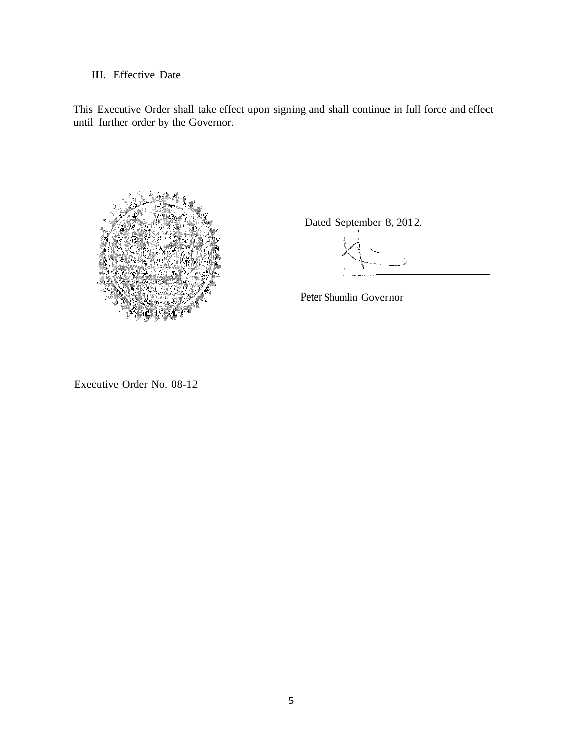# III. Effective Date

This Executive Order shall take effect upon signing and shall continue in full force and effect until further order by the Governor.



Dated September 8, 2012.

Peter Shumlin Governor

Executive Order No. 08-12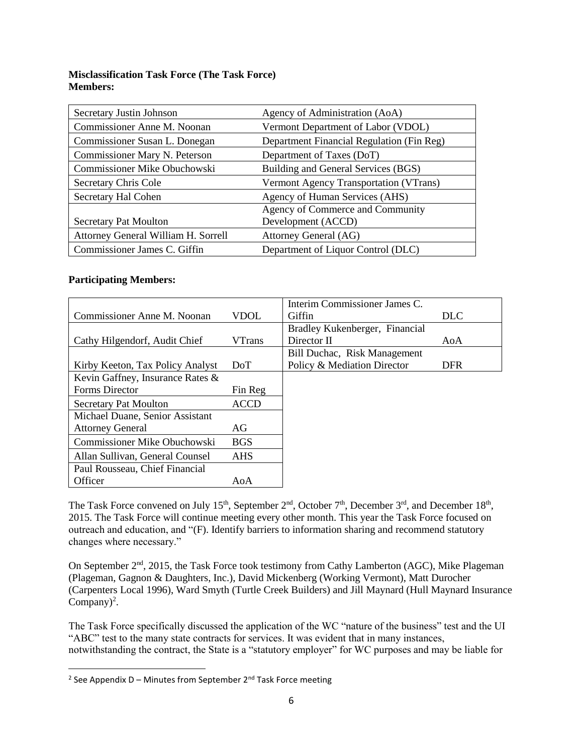## **Misclassification Task Force (The Task Force) Members:**

| Secretary Justin Johnson            | Agency of Administration (AoA)            |
|-------------------------------------|-------------------------------------------|
| Commissioner Anne M. Noonan         | Vermont Department of Labor (VDOL)        |
| Commissioner Susan L. Donegan       | Department Financial Regulation (Fin Reg) |
| Commissioner Mary N. Peterson       | Department of Taxes (DoT)                 |
| Commissioner Mike Obuchowski        | Building and General Services (BGS)       |
| Secretary Chris Cole                | Vermont Agency Transportation (VTrans)    |
| Secretary Hal Cohen                 | Agency of Human Services (AHS)            |
|                                     | Agency of Commerce and Community          |
| <b>Secretary Pat Moulton</b>        | Development (ACCD)                        |
| Attorney General William H. Sorrell | Attorney General (AG)                     |
| Commissioner James C. Giffin        | Department of Liquor Control (DLC)        |

### **Participating Members:**

 $\overline{\phantom{a}}$ 

|                                  |               | Interim Commissioner James C.  |            |
|----------------------------------|---------------|--------------------------------|------------|
| Commissioner Anne M. Noonan      | VDOL          | Giffin                         | <b>DLC</b> |
|                                  |               | Bradley Kukenberger, Financial |            |
| Cathy Hilgendorf, Audit Chief    | <b>VTrans</b> | Director II                    | AoA        |
|                                  |               | Bill Duchac, Risk Management   |            |
| Kirby Keeton, Tax Policy Analyst | DoT           | Policy & Mediation Director    | <b>DFR</b> |
| Kevin Gaffney, Insurance Rates & |               |                                |            |
| Forms Director                   | Fin Reg       |                                |            |
| <b>Secretary Pat Moulton</b>     | <b>ACCD</b>   |                                |            |
| Michael Duane, Senior Assistant  |               |                                |            |
| <b>Attorney General</b>          | AG            |                                |            |
| Commissioner Mike Obuchowski     | <b>BGS</b>    |                                |            |
| Allan Sullivan, General Counsel  | <b>AHS</b>    |                                |            |
| Paul Rousseau, Chief Financial   |               |                                |            |
| Officer                          | AoA           |                                |            |

The Task Force convened on July 15<sup>th</sup>, September  $2<sup>nd</sup>$ , October 7<sup>th</sup>, December  $3<sup>rd</sup>$ , and December 18<sup>th</sup>, 2015. The Task Force will continue meeting every other month. This year the Task Force focused on outreach and education, and "(F). Identify barriers to information sharing and recommend statutory changes where necessary."

On September 2<sup>nd</sup>, 2015, the Task Force took testimony from Cathy Lamberton (AGC), Mike Plageman (Plageman, Gagnon & Daughters, Inc.), David Mickenberg (Working Vermont), Matt Durocher (Carpenters Local 1996), Ward Smyth (Turtle Creek Builders) and Jill Maynard (Hull Maynard Insurance Company $)^2$ .

The Task Force specifically discussed the application of the WC "nature of the business" test and the UI "ABC" test to the many state contracts for services. It was evident that in many instances, notwithstanding the contract, the State is a "statutory employer" for WC purposes and may be liable for

<sup>&</sup>lt;sup>2</sup> See Appendix D – Minutes from September 2<sup>nd</sup> Task Force meeting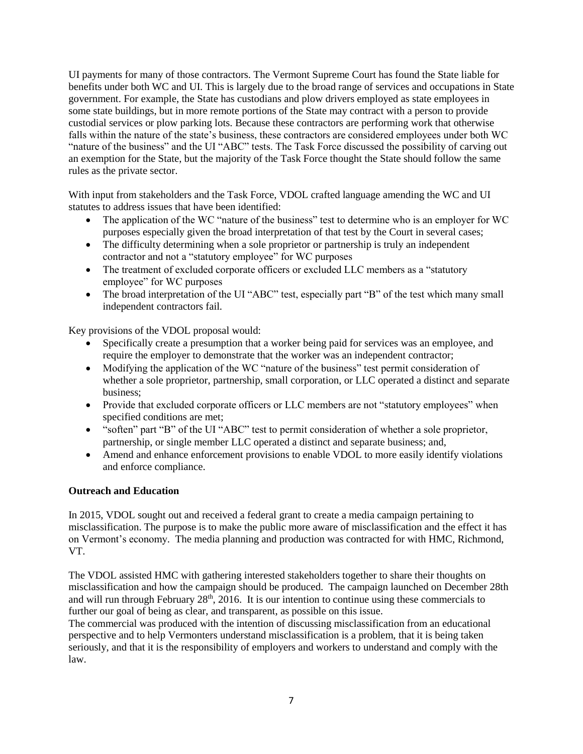UI payments for many of those contractors. The Vermont Supreme Court has found the State liable for benefits under both WC and UI. This is largely due to the broad range of services and occupations in State government. For example, the State has custodians and plow drivers employed as state employees in some state buildings, but in more remote portions of the State may contract with a person to provide custodial services or plow parking lots. Because these contractors are performing work that otherwise falls within the nature of the state's business, these contractors are considered employees under both WC "nature of the business" and the UI "ABC" tests. The Task Force discussed the possibility of carving out an exemption for the State, but the majority of the Task Force thought the State should follow the same rules as the private sector.

With input from stakeholders and the Task Force, VDOL crafted language amending the WC and UI statutes to address issues that have been identified:

- The application of the WC "nature of the business" test to determine who is an employer for WC purposes especially given the broad interpretation of that test by the Court in several cases;
- The difficulty determining when a sole proprietor or partnership is truly an independent contractor and not a "statutory employee" for WC purposes
- The treatment of excluded corporate officers or excluded LLC members as a "statutory" employee" for WC purposes
- The broad interpretation of the UI "ABC" test, especially part "B" of the test which many small independent contractors fail.

Key provisions of the VDOL proposal would:

- Specifically create a presumption that a worker being paid for services was an employee, and require the employer to demonstrate that the worker was an independent contractor;
- Modifying the application of the WC "nature of the business" test permit consideration of whether a sole proprietor, partnership, small corporation, or LLC operated a distinct and separate business;
- Provide that excluded corporate officers or LLC members are not "statutory employees" when specified conditions are met;
- "soften" part "B" of the UI "ABC" test to permit consideration of whether a sole proprietor, partnership, or single member LLC operated a distinct and separate business; and,
- Amend and enhance enforcement provisions to enable VDOL to more easily identify violations and enforce compliance.

# **Outreach and Education**

In 2015, VDOL sought out and received a federal grant to create a media campaign pertaining to misclassification. The purpose is to make the public more aware of misclassification and the effect it has on Vermont's economy. The media planning and production was contracted for with HMC, Richmond, VT.

The VDOL assisted HMC with gathering interested stakeholders together to share their thoughts on misclassification and how the campaign should be produced. The campaign launched on December 28th and will run through February  $28<sup>th</sup>$ ,  $2016$ . It is our intention to continue using these commercials to further our goal of being as clear, and transparent, as possible on this issue.

The commercial was produced with the intention of discussing misclassification from an educational perspective and to help Vermonters understand misclassification is a problem, that it is being taken seriously, and that it is the responsibility of employers and workers to understand and comply with the law.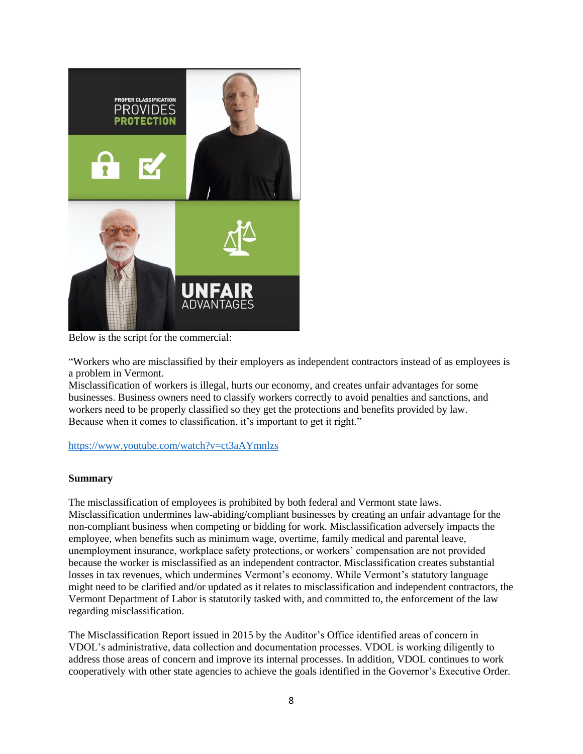

Below is the script for the commercial:

"Workers who are misclassified by their employers as independent contractors instead of as employees is a problem in Vermont.

Misclassification of workers is illegal, hurts our economy, and creates unfair advantages for some businesses. Business owners need to classify workers correctly to avoid penalties and sanctions, and workers need to be properly classified so they get the protections and benefits provided by law. Because when it comes to classification, it's important to get it right."

# <https://www.youtube.com/watch?v=ct3aAYmnlzs>

#### **Summary**

The misclassification of employees is prohibited by both federal and Vermont state laws. Misclassification undermines law-abiding/compliant businesses by creating an unfair advantage for the non-compliant business when competing or bidding for work. Misclassification adversely impacts the employee, when benefits such as minimum wage, overtime, family medical and parental leave, unemployment insurance, workplace safety protections, or workers' compensation are not provided because the worker is misclassified as an independent contractor. Misclassification creates substantial losses in tax revenues, which undermines Vermont's economy. While Vermont's statutory language might need to be clarified and/or updated as it relates to misclassification and independent contractors, the Vermont Department of Labor is statutorily tasked with, and committed to, the enforcement of the law regarding misclassification.

The Misclassification Report issued in 2015 by the Auditor's Office identified areas of concern in VDOL's administrative, data collection and documentation processes. VDOL is working diligently to address those areas of concern and improve its internal processes. In addition, VDOL continues to work cooperatively with other state agencies to achieve the goals identified in the Governor's Executive Order.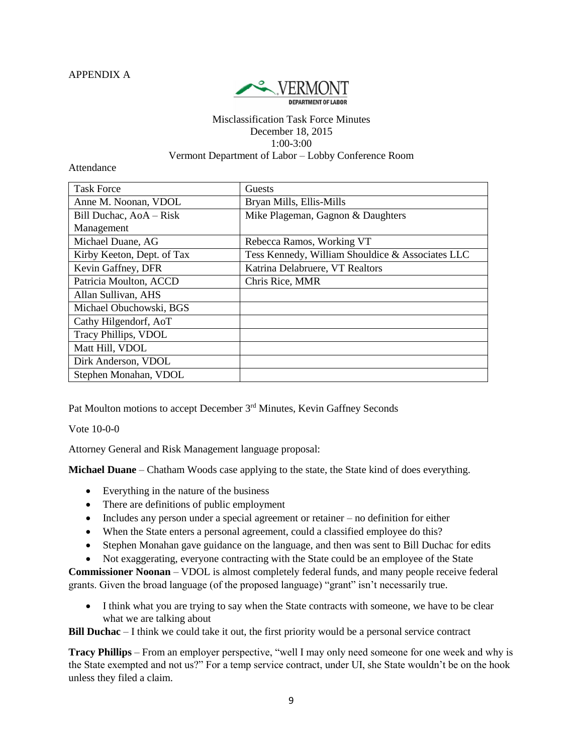APPENDIX A



#### Misclassification Task Force Minutes December 18, 2015 1:00-3:00 Vermont Department of Labor – Lobby Conference Room

Attendance

| <b>Task Force</b>          | Guests                                           |
|----------------------------|--------------------------------------------------|
| Anne M. Noonan, VDOL       | Bryan Mills, Ellis-Mills                         |
| Bill Duchac, AoA - Risk    | Mike Plageman, Gagnon & Daughters                |
| Management                 |                                                  |
| Michael Duane, AG          | Rebecca Ramos, Working VT                        |
| Kirby Keeton, Dept. of Tax | Tess Kennedy, William Shouldice & Associates LLC |
| Kevin Gaffney, DFR         | Katrina Delabruere, VT Realtors                  |
| Patricia Moulton, ACCD     | Chris Rice, MMR                                  |
| Allan Sullivan, AHS        |                                                  |
| Michael Obuchowski, BGS    |                                                  |
| Cathy Hilgendorf, AoT      |                                                  |
| Tracy Phillips, VDOL       |                                                  |
| Matt Hill, VDOL            |                                                  |
| Dirk Anderson, VDOL        |                                                  |
| Stephen Monahan, VDOL      |                                                  |

Pat Moulton motions to accept December 3<sup>rd</sup> Minutes, Kevin Gaffney Seconds

Vote 10-0-0

Attorney General and Risk Management language proposal:

**Michael Duane** – Chatham Woods case applying to the state, the State kind of does everything.

- Everything in the nature of the business
- There are definitions of public employment
- Includes any person under a special agreement or retainer no definition for either
- When the State enters a personal agreement, could a classified employee do this?
- Stephen Monahan gave guidance on the language, and then was sent to Bill Duchac for edits
- Not exaggerating, everyone contracting with the State could be an employee of the State

**Commissioner Noonan** – VDOL is almost completely federal funds, and many people receive federal grants. Given the broad language (of the proposed language) "grant" isn't necessarily true.

• I think what you are trying to say when the State contracts with someone, we have to be clear what we are talking about

**Bill Duchac** – I think we could take it out, the first priority would be a personal service contract

**Tracy Phillips** – From an employer perspective, "well I may only need someone for one week and why is the State exempted and not us?" For a temp service contract, under UI, she State wouldn't be on the hook unless they filed a claim.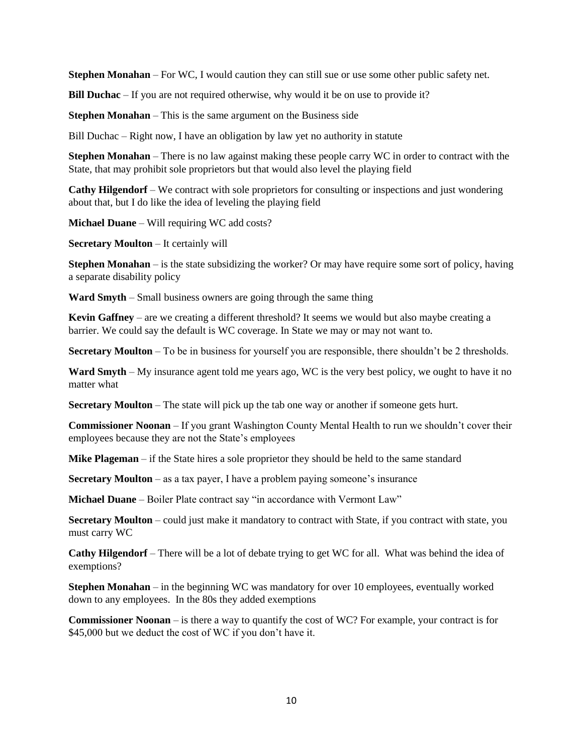**Stephen Monahan** – For WC, I would caution they can still sue or use some other public safety net.

**Bill Duchac** – If you are not required otherwise, why would it be on use to provide it?

**Stephen Monahan** – This is the same argument on the Business side

Bill Duchac – Right now, I have an obligation by law yet no authority in statute

**Stephen Monahan** – There is no law against making these people carry WC in order to contract with the State, that may prohibit sole proprietors but that would also level the playing field

**Cathy Hilgendorf** – We contract with sole proprietors for consulting or inspections and just wondering about that, but I do like the idea of leveling the playing field

**Michael Duane** – Will requiring WC add costs?

**Secretary Moulton** – It certainly will

**Stephen Monahan** – is the state subsidizing the worker? Or may have require some sort of policy, having a separate disability policy

**Ward Smyth** – Small business owners are going through the same thing

**Kevin Gaffney** – are we creating a different threshold? It seems we would but also maybe creating a barrier. We could say the default is WC coverage. In State we may or may not want to.

**Secretary Moulton** – To be in business for yourself you are responsible, there shouldn't be 2 thresholds.

**Ward Smyth** – My insurance agent told me years ago, WC is the very best policy, we ought to have it no matter what

**Secretary Moulton** – The state will pick up the tab one way or another if someone gets hurt.

**Commissioner Noonan** – If you grant Washington County Mental Health to run we shouldn't cover their employees because they are not the State's employees

**Mike Plageman** – if the State hires a sole proprietor they should be held to the same standard

**Secretary Moulton** – as a tax payer, I have a problem paying someone's insurance

**Michael Duane** – Boiler Plate contract say "in accordance with Vermont Law"

**Secretary Moulton** – could just make it mandatory to contract with State, if you contract with state, you must carry WC

**Cathy Hilgendorf** – There will be a lot of debate trying to get WC for all. What was behind the idea of exemptions?

**Stephen Monahan** – in the beginning WC was mandatory for over 10 employees, eventually worked down to any employees. In the 80s they added exemptions

**Commissioner Noonan** – is there a way to quantify the cost of WC? For example, your contract is for \$45,000 but we deduct the cost of WC if you don't have it.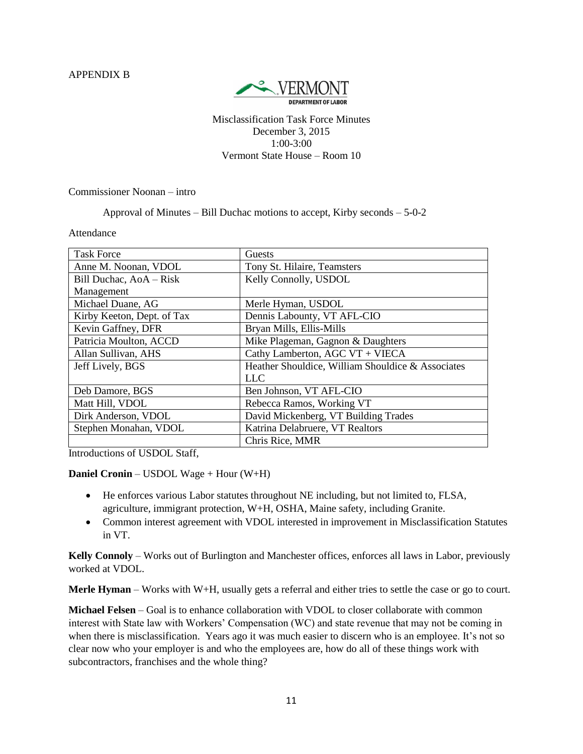APPENDIX B



Misclassification Task Force Minutes December 3, 2015 1:00-3:00 Vermont State House – Room 10

Commissioner Noonan – intro

Approval of Minutes – Bill Duchac motions to accept, Kirby seconds – 5-0-2

Attendance

| <b>Task Force</b>          | Guests                                            |  |
|----------------------------|---------------------------------------------------|--|
| Anne M. Noonan, VDOL       | Tony St. Hilaire, Teamsters                       |  |
| Bill Duchac, AoA - Risk    | Kelly Connolly, USDOL                             |  |
| Management                 |                                                   |  |
| Michael Duane, AG          | Merle Hyman, USDOL                                |  |
| Kirby Keeton, Dept. of Tax | Dennis Labounty, VT AFL-CIO                       |  |
| Kevin Gaffney, DFR         | Bryan Mills, Ellis-Mills                          |  |
| Patricia Moulton, ACCD     | Mike Plageman, Gagnon & Daughters                 |  |
| Allan Sullivan, AHS        | Cathy Lamberton, AGC VT + VIECA                   |  |
| Jeff Lively, BGS           | Heather Shouldice, William Shouldice & Associates |  |
|                            | LLC                                               |  |
| Deb Damore, BGS            | Ben Johnson, VT AFL-CIO                           |  |
| Matt Hill, VDOL            | Rebecca Ramos, Working VT                         |  |
| Dirk Anderson, VDOL        | David Mickenberg, VT Building Trades              |  |
| Stephen Monahan, VDOL      | Katrina Delabruere, VT Realtors                   |  |
|                            | Chris Rice, MMR                                   |  |

Introductions of USDOL Staff,

**Daniel Cronin** – USDOL Wage + Hour (W+H)

- He enforces various Labor statutes throughout NE including, but not limited to, FLSA, agriculture, immigrant protection, W+H, OSHA, Maine safety, including Granite.
- Common interest agreement with VDOL interested in improvement in Misclassification Statutes in VT.

**Kelly Connoly** – Works out of Burlington and Manchester offices, enforces all laws in Labor, previously worked at VDOL.

**Merle Hyman** – Works with W+H, usually gets a referral and either tries to settle the case or go to court.

**Michael Felsen** – Goal is to enhance collaboration with VDOL to closer collaborate with common interest with State law with Workers' Compensation (WC) and state revenue that may not be coming in when there is misclassification. Years ago it was much easier to discern who is an employee. It's not so clear now who your employer is and who the employees are, how do all of these things work with subcontractors, franchises and the whole thing?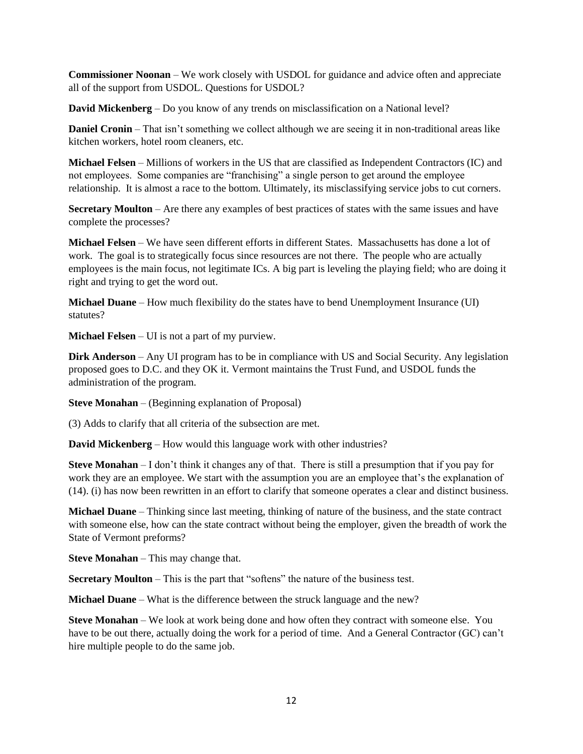**Commissioner Noonan** – We work closely with USDOL for guidance and advice often and appreciate all of the support from USDOL. Questions for USDOL?

**David Mickenberg** – Do you know of any trends on misclassification on a National level?

**Daniel Cronin** – That isn't something we collect although we are seeing it in non-traditional areas like kitchen workers, hotel room cleaners, etc.

**Michael Felsen** – Millions of workers in the US that are classified as Independent Contractors (IC) and not employees. Some companies are "franchising" a single person to get around the employee relationship. It is almost a race to the bottom. Ultimately, its misclassifying service jobs to cut corners.

**Secretary Moulton** – Are there any examples of best practices of states with the same issues and have complete the processes?

**Michael Felsen** – We have seen different efforts in different States. Massachusetts has done a lot of work. The goal is to strategically focus since resources are not there. The people who are actually employees is the main focus, not legitimate ICs. A big part is leveling the playing field; who are doing it right and trying to get the word out.

**Michael Duane** – How much flexibility do the states have to bend Unemployment Insurance (UI) statutes?

**Michael Felsen** – UI is not a part of my purview.

**Dirk Anderson** – Any UI program has to be in compliance with US and Social Security. Any legislation proposed goes to D.C. and they OK it. Vermont maintains the Trust Fund, and USDOL funds the administration of the program.

**Steve Monahan** – (Beginning explanation of Proposal)

(3) Adds to clarify that all criteria of the subsection are met.

**David Mickenberg** – How would this language work with other industries?

**Steve Monahan** – I don't think it changes any of that. There is still a presumption that if you pay for work they are an employee. We start with the assumption you are an employee that's the explanation of (14). (i) has now been rewritten in an effort to clarify that someone operates a clear and distinct business.

**Michael Duane** – Thinking since last meeting, thinking of nature of the business, and the state contract with someone else, how can the state contract without being the employer, given the breadth of work the State of Vermont preforms?

**Steve Monahan** – This may change that.

**Secretary Moulton** – This is the part that "softens" the nature of the business test.

**Michael Duane** – What is the difference between the struck language and the new?

**Steve Monahan** – We look at work being done and how often they contract with someone else. You have to be out there, actually doing the work for a period of time. And a General Contractor (GC) can't hire multiple people to do the same job.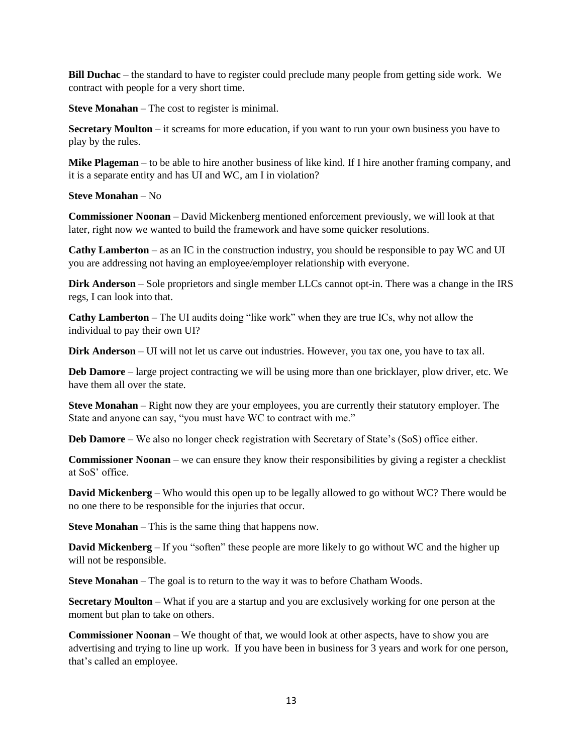**Bill Duchac** – the standard to have to register could preclude many people from getting side work. We contract with people for a very short time.

**Steve Monahan** – The cost to register is minimal.

**Secretary Moulton** – it screams for more education, if you want to run your own business you have to play by the rules.

**Mike Plageman** – to be able to hire another business of like kind. If I hire another framing company, and it is a separate entity and has UI and WC, am I in violation?

#### **Steve Monahan** – No

**Commissioner Noonan** – David Mickenberg mentioned enforcement previously, we will look at that later, right now we wanted to build the framework and have some quicker resolutions.

**Cathy Lamberton** – as an IC in the construction industry, you should be responsible to pay WC and UI you are addressing not having an employee/employer relationship with everyone.

**Dirk Anderson** – Sole proprietors and single member LLCs cannot opt-in. There was a change in the IRS regs, I can look into that.

**Cathy Lamberton** – The UI audits doing "like work" when they are true ICs, why not allow the individual to pay their own UI?

**Dirk Anderson** – UI will not let us carve out industries. However, you tax one, you have to tax all.

**Deb Damore** – large project contracting we will be using more than one bricklayer, plow driver, etc. We have them all over the state.

**Steve Monahan** – Right now they are your employees, you are currently their statutory employer. The State and anyone can say, "you must have WC to contract with me."

**Deb Damore** – We also no longer check registration with Secretary of State's (SoS) office either.

**Commissioner Noonan** – we can ensure they know their responsibilities by giving a register a checklist at SoS' office.

**David Mickenberg** – Who would this open up to be legally allowed to go without WC? There would be no one there to be responsible for the injuries that occur.

**Steve Monahan** – This is the same thing that happens now.

**David Mickenberg** – If you "soften" these people are more likely to go without WC and the higher up will not be responsible.

**Steve Monahan** – The goal is to return to the way it was to before Chatham Woods.

**Secretary Moulton** – What if you are a startup and you are exclusively working for one person at the moment but plan to take on others.

**Commissioner Noonan** – We thought of that, we would look at other aspects, have to show you are advertising and trying to line up work. If you have been in business for 3 years and work for one person, that's called an employee.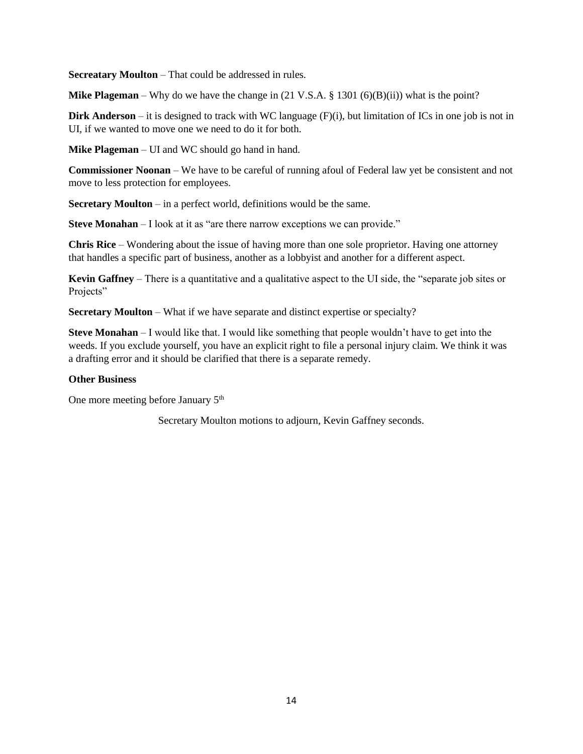**Secreatary Moulton** – That could be addressed in rules.

**Mike Plageman** – Why do we have the change in  $(21 \text{ V.S.A.} \text{§ } 1301 (6)(B)(ii))$  what is the point?

**Dirk Anderson** – it is designed to track with WC language  $(F)(i)$ , but limitation of ICs in one job is not in UI, if we wanted to move one we need to do it for both.

**Mike Plageman** – UI and WC should go hand in hand.

**Commissioner Noonan** – We have to be careful of running afoul of Federal law yet be consistent and not move to less protection for employees.

**Secretary Moulton** – in a perfect world, definitions would be the same.

**Steve Monahan** – I look at it as "are there narrow exceptions we can provide."

**Chris Rice** – Wondering about the issue of having more than one sole proprietor. Having one attorney that handles a specific part of business, another as a lobbyist and another for a different aspect.

**Kevin Gaffney** – There is a quantitative and a qualitative aspect to the UI side, the "separate job sites or Projects"

**Secretary Moulton** – What if we have separate and distinct expertise or specialty?

**Steve Monahan** – I would like that. I would like something that people wouldn't have to get into the weeds. If you exclude yourself, you have an explicit right to file a personal injury claim. We think it was a drafting error and it should be clarified that there is a separate remedy.

#### **Other Business**

One more meeting before January 5<sup>th</sup>

Secretary Moulton motions to adjourn, Kevin Gaffney seconds.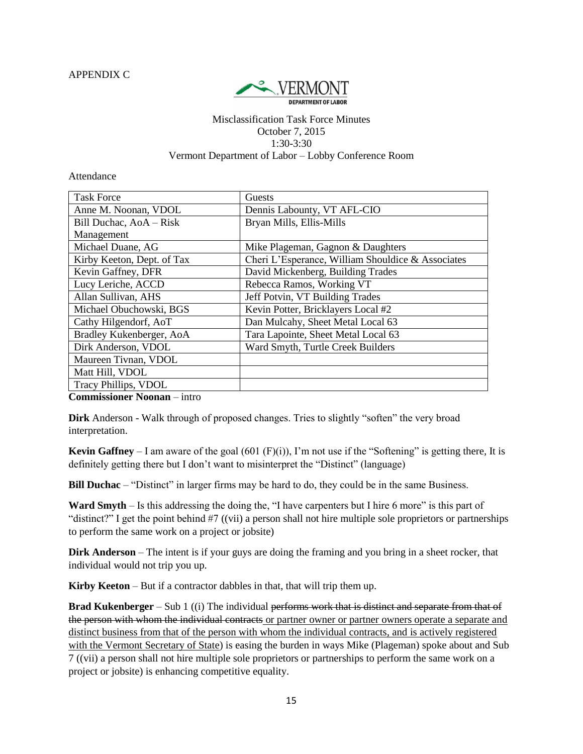APPENDIX C



#### Misclassification Task Force Minutes October 7, 2015 1:30-3:30 Vermont Department of Labor – Lobby Conference Room

Attendance

| Guests                                            |  |
|---------------------------------------------------|--|
| Dennis Labounty, VT AFL-CIO                       |  |
| Bryan Mills, Ellis-Mills                          |  |
|                                                   |  |
| Mike Plageman, Gagnon & Daughters                 |  |
| Cheri L'Esperance, William Shouldice & Associates |  |
| David Mickenberg, Building Trades                 |  |
| Rebecca Ramos, Working VT                         |  |
| Jeff Potvin, VT Building Trades                   |  |
| Kevin Potter, Bricklayers Local #2                |  |
| Dan Mulcahy, Sheet Metal Local 63                 |  |
| Tara Lapointe, Sheet Metal Local 63               |  |
| Ward Smyth, Turtle Creek Builders                 |  |
|                                                   |  |
|                                                   |  |
|                                                   |  |
|                                                   |  |

**Commissioner Noonan** – intro

**Dirk** Anderson - Walk through of proposed changes. Tries to slightly "soften" the very broad interpretation.

**Kevin Gaffney** – I am aware of the goal (601 (F)(i)), I'm not use if the "Softening" is getting there, It is definitely getting there but I don't want to misinterpret the "Distinct" (language)

**Bill Duchac** – "Distinct" in larger firms may be hard to do, they could be in the same Business.

**Ward Smyth** – Is this addressing the doing the, "I have carpenters but I hire 6 more" is this part of "distinct?" I get the point behind #7 ((vii) a person shall not hire multiple sole proprietors or partnerships to perform the same work on a project or jobsite)

**Dirk Anderson** – The intent is if your guys are doing the framing and you bring in a sheet rocker, that individual would not trip you up.

**Kirby Keeton** – But if a contractor dabbles in that, that will trip them up.

**Brad Kukenberger** – Sub 1 ((i) The individual performs work that is distinct and separate from that of the person with whom the individual contracts or partner owner or partner owners operate a separate and distinct business from that of the person with whom the individual contracts, and is actively registered with the Vermont Secretary of State) is easing the burden in ways Mike (Plageman) spoke about and Sub 7 ((vii) a person shall not hire multiple sole proprietors or partnerships to perform the same work on a project or jobsite) is enhancing competitive equality.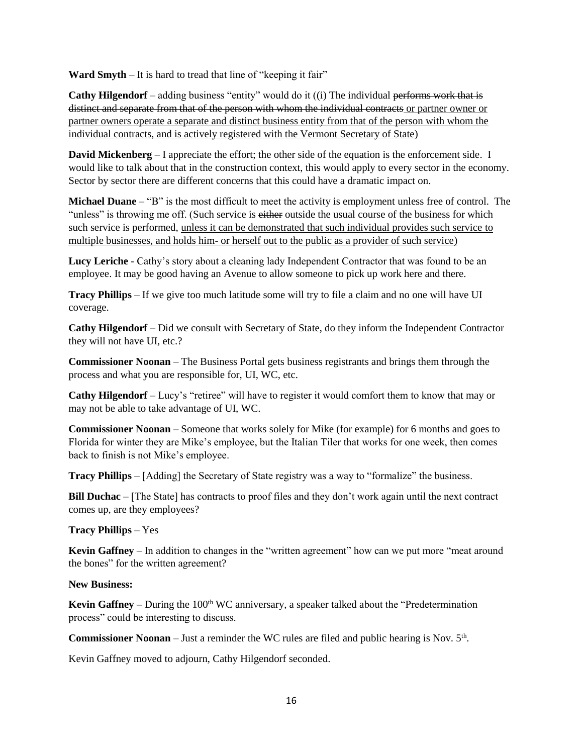**Ward Smyth** – It is hard to tread that line of "keeping it fair"

**Cathy Hilgendorf** – adding business "entity" would do it ((i) The individual performs work that is distinct and separate from that of the person with whom the individual contracts or partner owner or partner owners operate a separate and distinct business entity from that of the person with whom the individual contracts, and is actively registered with the Vermont Secretary of State)

**David Mickenberg** – I appreciate the effort; the other side of the equation is the enforcement side. I would like to talk about that in the construction context, this would apply to every sector in the economy. Sector by sector there are different concerns that this could have a dramatic impact on.

**Michael Duane** – "B" is the most difficult to meet the activity is employment unless free of control. The "unless" is throwing me off. (Such service is either outside the usual course of the business for which such service is performed, unless it can be demonstrated that such individual provides such service to multiple businesses, and holds him- or herself out to the public as a provider of such service)

**Lucy Leriche** - Cathy's story about a cleaning lady Independent Contractor that was found to be an employee. It may be good having an Avenue to allow someone to pick up work here and there.

**Tracy Phillips** – If we give too much latitude some will try to file a claim and no one will have UI coverage.

**Cathy Hilgendorf** – Did we consult with Secretary of State, do they inform the Independent Contractor they will not have UI, etc.?

**Commissioner Noonan** – The Business Portal gets business registrants and brings them through the process and what you are responsible for, UI, WC, etc.

**Cathy Hilgendorf** – Lucy's "retiree" will have to register it would comfort them to know that may or may not be able to take advantage of UI, WC.

**Commissioner Noonan** – Someone that works solely for Mike (for example) for 6 months and goes to Florida for winter they are Mike's employee, but the Italian Tiler that works for one week, then comes back to finish is not Mike's employee.

**Tracy Phillips** – [Adding] the Secretary of State registry was a way to "formalize" the business.

**Bill Duchac** – [The State] has contracts to proof files and they don't work again until the next contract comes up, are they employees?

**Tracy Phillips** – Yes

**Kevin Gaffney** – In addition to changes in the "written agreement" how can we put more "meat around the bones" for the written agreement?

#### **New Business:**

**Kevin Gaffney** – During the  $100<sup>th</sup>$  WC anniversary, a speaker talked about the "Predetermination" process" could be interesting to discuss.

**Commissioner Noonan** – Just a reminder the WC rules are filed and public hearing is Nov.  $5<sup>th</sup>$ .

Kevin Gaffney moved to adjourn, Cathy Hilgendorf seconded.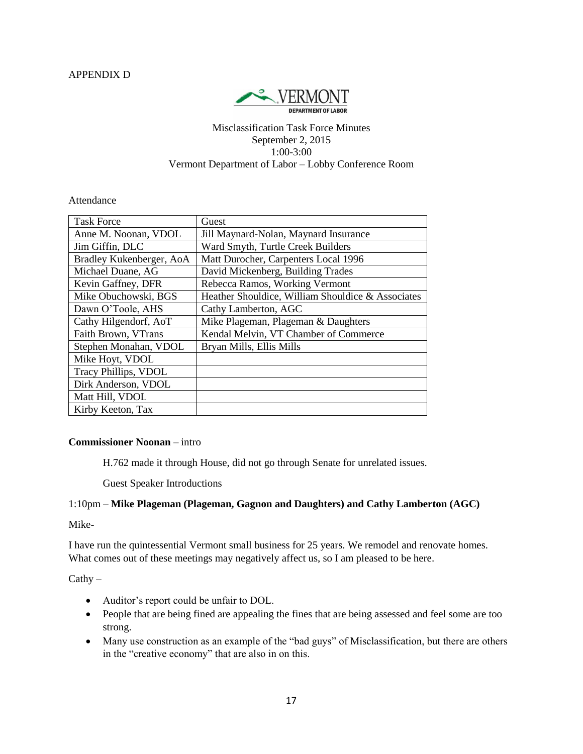

#### Misclassification Task Force Minutes September 2, 2015 1:00-3:00 Vermont Department of Labor – Lobby Conference Room

#### Attendance

| <b>Task Force</b>        | Guest                                             |
|--------------------------|---------------------------------------------------|
| Anne M. Noonan, VDOL     | Jill Maynard-Nolan, Maynard Insurance             |
| Jim Giffin, DLC          | Ward Smyth, Turtle Creek Builders                 |
| Bradley Kukenberger, AoA | Matt Durocher, Carpenters Local 1996              |
| Michael Duane, AG        | David Mickenberg, Building Trades                 |
| Kevin Gaffney, DFR       | Rebecca Ramos, Working Vermont                    |
| Mike Obuchowski, BGS     | Heather Shouldice, William Shouldice & Associates |
| Dawn O'Toole, AHS        | Cathy Lamberton, AGC                              |
| Cathy Hilgendorf, AoT    | Mike Plageman, Plageman & Daughters               |
| Faith Brown, VTrans      | Kendal Melvin, VT Chamber of Commerce             |
| Stephen Monahan, VDOL    | Bryan Mills, Ellis Mills                          |
| Mike Hoyt, VDOL          |                                                   |
| Tracy Phillips, VDOL     |                                                   |
| Dirk Anderson, VDOL      |                                                   |
| Matt Hill, VDOL          |                                                   |
| Kirby Keeton, Tax        |                                                   |

#### **Commissioner Noonan** – intro

H.762 made it through House, did not go through Senate for unrelated issues.

Guest Speaker Introductions

#### 1:10pm – **Mike Plageman (Plageman, Gagnon and Daughters) and Cathy Lamberton (AGC)**

Mike-

I have run the quintessential Vermont small business for 25 years. We remodel and renovate homes. What comes out of these meetings may negatively affect us, so I am pleased to be here.

#### $Cathy -$

- Auditor's report could be unfair to DOL.
- People that are being fined are appealing the fines that are being assessed and feel some are too strong.
- Many use construction as an example of the "bad guys" of Misclassification, but there are others in the "creative economy" that are also in on this.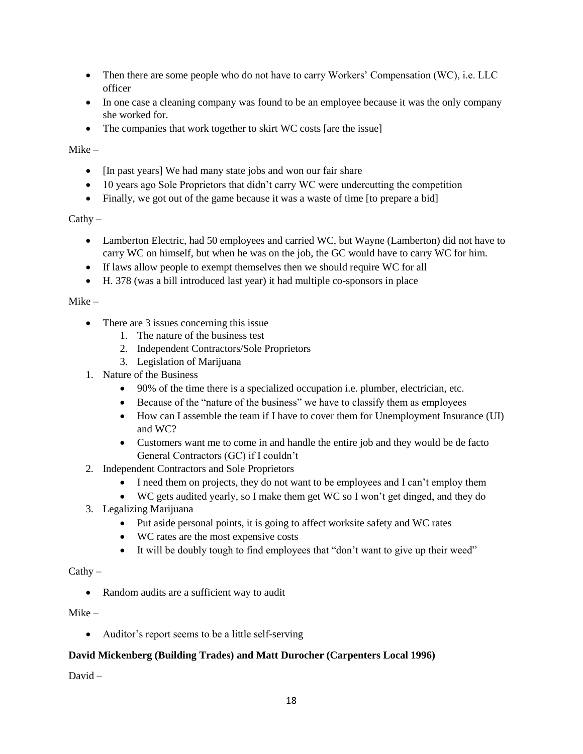- Then there are some people who do not have to carry Workers' Compensation (WC), i.e. LLC officer
- In one case a cleaning company was found to be an employee because it was the only company she worked for.
- The companies that work together to skirt WC costs [are the issue]

Mike –

- [In past years] We had many state jobs and won our fair share
- 10 years ago Sole Proprietors that didn't carry WC were undercutting the competition
- Finally, we got out of the game because it was a waste of time [to prepare a bid]

#### $Cathy -$

- Lamberton Electric, had 50 employees and carried WC, but Wayne (Lamberton) did not have to carry WC on himself, but when he was on the job, the GC would have to carry WC for him.
- If laws allow people to exempt themselves then we should require WC for all
- H. 378 (was a bill introduced last year) it had multiple co-sponsors in place

#### Mike –

- There are 3 issues concerning this issue
	- 1. The nature of the business test
	- 2. Independent Contractors/Sole Proprietors
	- 3. Legislation of Marijuana
- 1. Nature of the Business
	- 90% of the time there is a specialized occupation i.e. plumber, electrician, etc.
	- Because of the "nature of the business" we have to classify them as employees
	- How can I assemble the team if I have to cover them for Unemployment Insurance (UI) and WC?
	- Customers want me to come in and handle the entire job and they would be de facto General Contractors (GC) if I couldn't
- 2. Independent Contractors and Sole Proprietors
	- I need them on projects, they do not want to be employees and I can't employ them
	- WC gets audited yearly, so I make them get WC so I won't get dinged, and they do
- 3. Legalizing Marijuana
	- Put aside personal points, it is going to affect worksite safety and WC rates
	- WC rates are the most expensive costs
	- It will be doubly tough to find employees that "don't want to give up their weed"

### $Cathy -$

• Random audits are a sufficient way to audit

#### Mike –

Auditor's report seems to be a little self-serving

# **David Mickenberg (Building Trades) and Matt Durocher (Carpenters Local 1996)**

David –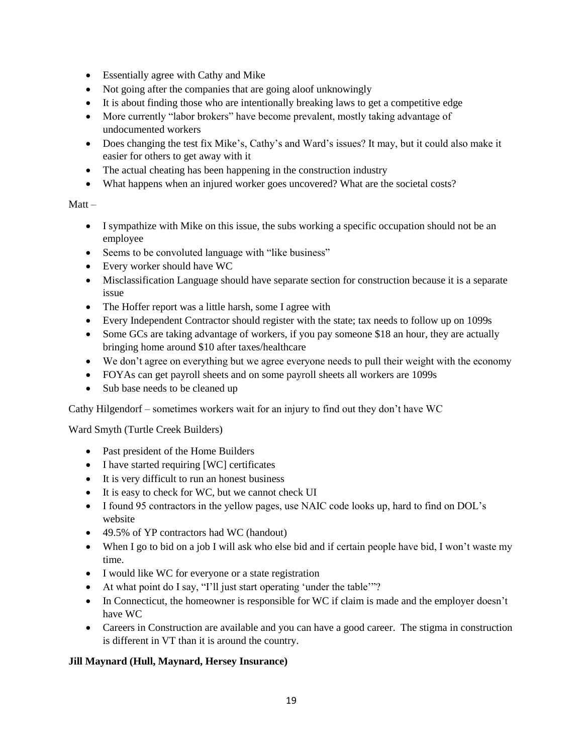- Essentially agree with Cathy and Mike
- Not going after the companies that are going aloof unknowingly
- It is about finding those who are intentionally breaking laws to get a competitive edge
- More currently "labor brokers" have become prevalent, mostly taking advantage of undocumented workers
- Does changing the test fix Mike's, Cathy's and Ward's issues? It may, but it could also make it easier for others to get away with it
- The actual cheating has been happening in the construction industry
- What happens when an injured worker goes uncovered? What are the societal costs?

# Matt –

- I sympathize with Mike on this issue, the subs working a specific occupation should not be an employee
- Seems to be convoluted language with "like business"
- Every worker should have WC
- Misclassification Language should have separate section for construction because it is a separate issue
- The Hoffer report was a little harsh, some I agree with
- Every Independent Contractor should register with the state; tax needs to follow up on 1099s
- Some GCs are taking advantage of workers, if you pay someone \$18 an hour, they are actually bringing home around \$10 after taxes/healthcare
- We don't agree on everything but we agree everyone needs to pull their weight with the economy
- FOYAs can get payroll sheets and on some payroll sheets all workers are 1099s
- Sub base needs to be cleaned up

Cathy Hilgendorf – sometimes workers wait for an injury to find out they don't have WC

Ward Smyth (Turtle Creek Builders)

- Past president of the Home Builders
- I have started requiring [WC] certificates
- It is very difficult to run an honest business
- It is easy to check for WC, but we cannot check UI
- I found 95 contractors in the yellow pages, use NAIC code looks up, hard to find on DOL's website
- 49.5% of YP contractors had WC (handout)
- When I go to bid on a job I will ask who else bid and if certain people have bid, I won't waste my time.
- I would like WC for everyone or a state registration
- At what point do I say, "I'll just start operating 'under the table'"?
- In Connecticut, the homeowner is responsible for WC if claim is made and the employer doesn't have WC
- Careers in Construction are available and you can have a good career. The stigma in construction is different in VT than it is around the country.

# **Jill Maynard (Hull, Maynard, Hersey Insurance)**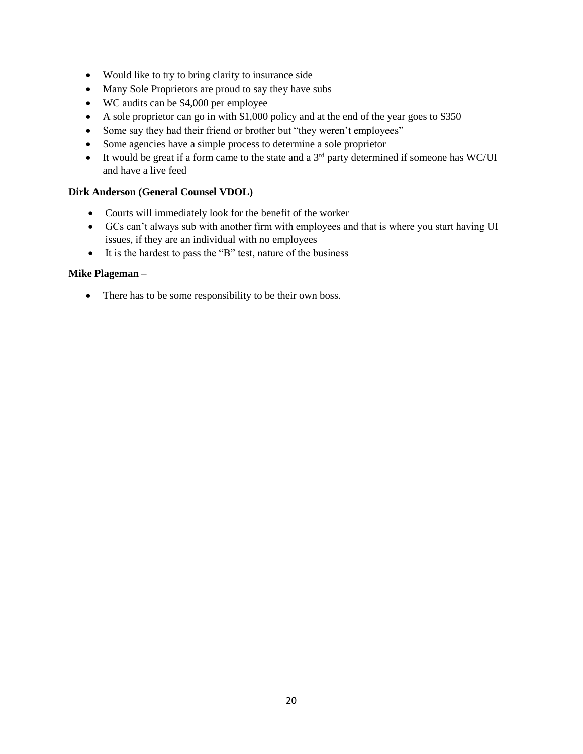- Would like to try to bring clarity to insurance side
- Many Sole Proprietors are proud to say they have subs
- WC audits can be \$4,000 per employee
- A sole proprietor can go in with \$1,000 policy and at the end of the year goes to \$350
- Some say they had their friend or brother but "they weren't employees"
- Some agencies have a simple process to determine a sole proprietor
- It would be great if a form came to the state and a  $3<sup>rd</sup>$  party determined if someone has WC/UI and have a live feed

#### **Dirk Anderson (General Counsel VDOL)**

- Courts will immediately look for the benefit of the worker
- GCs can't always sub with another firm with employees and that is where you start having UI issues, if they are an individual with no employees
- It is the hardest to pass the "B" test, nature of the business

#### **Mike Plageman** –

• There has to be some responsibility to be their own boss.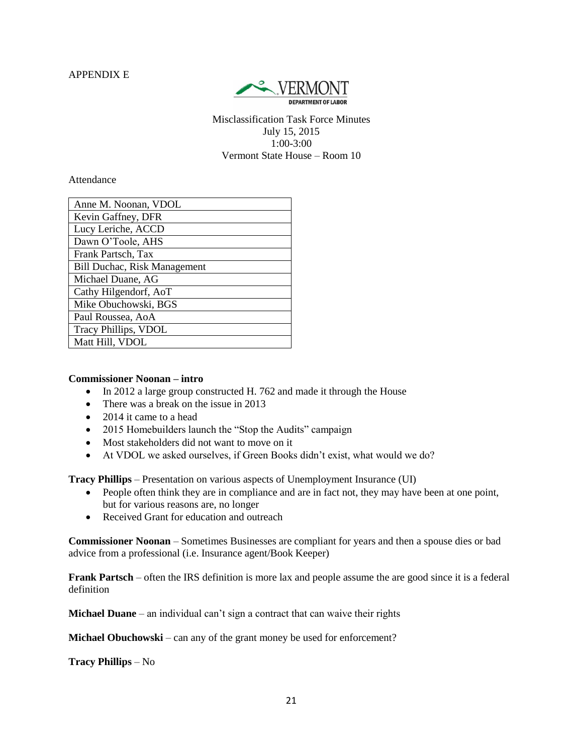APPENDIX E



Misclassification Task Force Minutes July 15, 2015 1:00-3:00 Vermont State House – Room 10

Attendance

| Anne M. Noonan, VDOL                |
|-------------------------------------|
| Kevin Gaffney, DFR                  |
| Lucy Leriche, ACCD                  |
| Dawn O'Toole, AHS                   |
| Frank Partsch, Tax                  |
| <b>Bill Duchac, Risk Management</b> |
| Michael Duane, AG                   |
| Cathy Hilgendorf, AoT               |
| Mike Obuchowski, BGS                |
| Paul Roussea, AoA                   |
| Tracy Phillips, VDOL                |
| Matt Hill, VDOL                     |

#### **Commissioner Noonan – intro**

- In 2012 a large group constructed H. 762 and made it through the House
- There was a break on the issue in 2013
- 2014 it came to a head
- 2015 Homebuilders launch the "Stop the Audits" campaign
- Most stakeholders did not want to move on it
- At VDOL we asked ourselves, if Green Books didn't exist, what would we do?

**Tracy Phillips** – Presentation on various aspects of Unemployment Insurance (UI)

- People often think they are in compliance and are in fact not, they may have been at one point, but for various reasons are, no longer
- Received Grant for education and outreach

**Commissioner Noonan** – Sometimes Businesses are compliant for years and then a spouse dies or bad advice from a professional (i.e. Insurance agent/Book Keeper)

**Frank Partsch** – often the IRS definition is more lax and people assume the are good since it is a federal definition

**Michael Duane** – an individual can't sign a contract that can waive their rights

**Michael Obuchowski** – can any of the grant money be used for enforcement?

**Tracy Phillips** – No